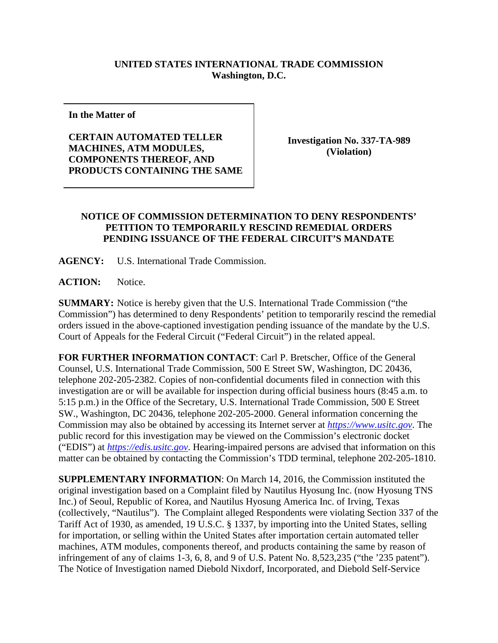## **UNITED STATES INTERNATIONAL TRADE COMMISSION Washington, D.C.**

**In the Matter of**

**CERTAIN AUTOMATED TELLER MACHINES, ATM MODULES, COMPONENTS THEREOF, AND PRODUCTS CONTAINING THE SAME**

**Investigation No. 337-TA-989 (Violation)**

## **NOTICE OF COMMISSION DETERMINATION TO DENY RESPONDENTS' PETITION TO TEMPORARILY RESCIND REMEDIAL ORDERS PENDING ISSUANCE OF THE FEDERAL CIRCUIT'S MANDATE**

**AGENCY:** U.S. International Trade Commission.

**ACTION:** Notice.

**SUMMARY:** Notice is hereby given that the U.S. International Trade Commission ("the Commission") has determined to deny Respondents' petition to temporarily rescind the remedial orders issued in the above-captioned investigation pending issuance of the mandate by the U.S. Court of Appeals for the Federal Circuit ("Federal Circuit") in the related appeal.

**FOR FURTHER INFORMATION CONTACT**: Carl P. Bretscher, Office of the General Counsel, U.S. International Trade Commission, 500 E Street SW, Washington, DC 20436, telephone 202-205-2382. Copies of non-confidential documents filed in connection with this investigation are or will be available for inspection during official business hours (8:45 a.m. to 5:15 p.m.) in the Office of the Secretary, U.S. International Trade Commission, 500 E Street SW., Washington, DC 20436, telephone 202-205-2000. General information concerning the Commission may also be obtained by accessing its Internet server at *[https://www.usitc.gov](https://www.usitc.gov/)*. The public record for this investigation may be viewed on the Commission's electronic docket ("EDIS") at *[https://edis.usitc.gov](https://edis.usitc.gov/)*. Hearing-impaired persons are advised that information on this matter can be obtained by contacting the Commission's TDD terminal, telephone 202-205-1810.

**SUPPLEMENTARY INFORMATION**: On March 14, 2016, the Commission instituted the original investigation based on a Complaint filed by Nautilus Hyosung Inc. (now Hyosung TNS Inc.) of Seoul, Republic of Korea, and Nautilus Hyosung America Inc. of Irving, Texas (collectively, "Nautilus"). The Complaint alleged Respondents were violating Section 337 of the Tariff Act of 1930, as amended, 19 U.S.C. § 1337, by importing into the United States, selling for importation, or selling within the United States after importation certain automated teller machines, ATM modules, components thereof, and products containing the same by reason of infringement of any of claims 1-3, 6, 8, and 9 of U.S. Patent No. 8,523,235 ("the '235 patent"). The Notice of Investigation named Diebold Nixdorf, Incorporated, and Diebold Self-Service